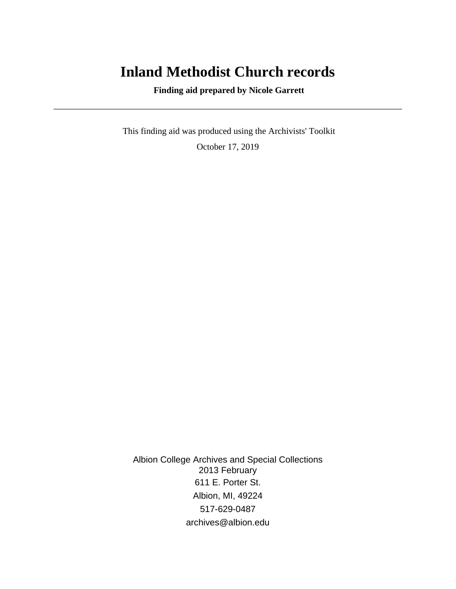# **Inland Methodist Church records**

 **Finding aid prepared by Nicole Garrett**

 This finding aid was produced using the Archivists' Toolkit October 17, 2019

Albion College Archives and Special Collections 2013 February 611 E. Porter St. Albion, MI, 49224 517-629-0487 archives@albion.edu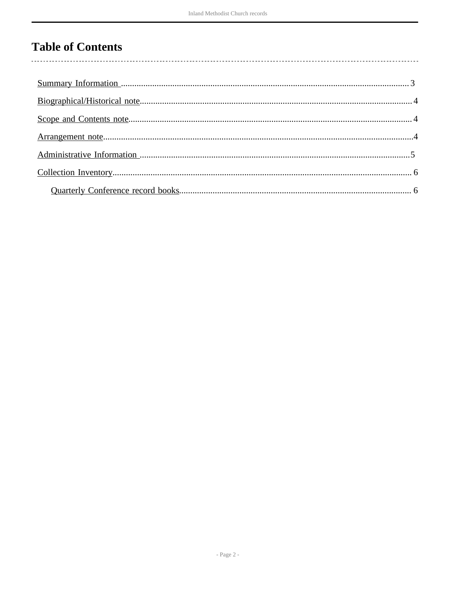# **Table of Contents**

 $\overline{\phantom{a}}$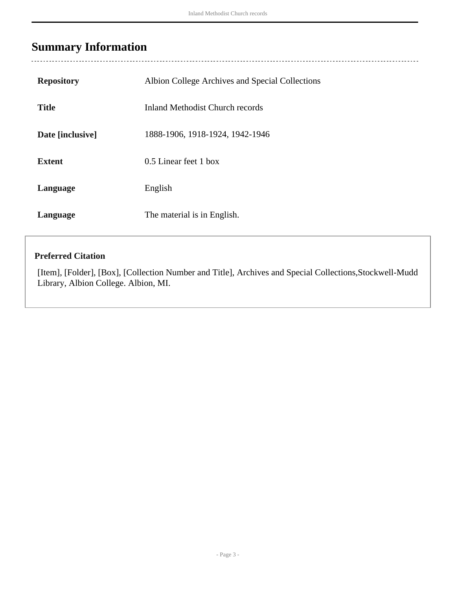## <span id="page-2-0"></span>**Summary Information**

 $\overline{a}$ 

| <b>Repository</b> | Albion College Archives and Special Collections |
|-------------------|-------------------------------------------------|
| <b>Title</b>      | <b>Inland Methodist Church records</b>          |
| Date [inclusive]  | 1888-1906, 1918-1924, 1942-1946                 |
| <b>Extent</b>     | 0.5 Linear feet 1 box                           |
| Language          | English                                         |
| Language          | The material is in English.                     |

### **Preferred Citation**

[Item], [Folder], [Box], [Collection Number and Title], Archives and Special Collections,Stockwell-Mudd Library, Albion College. Albion, MI.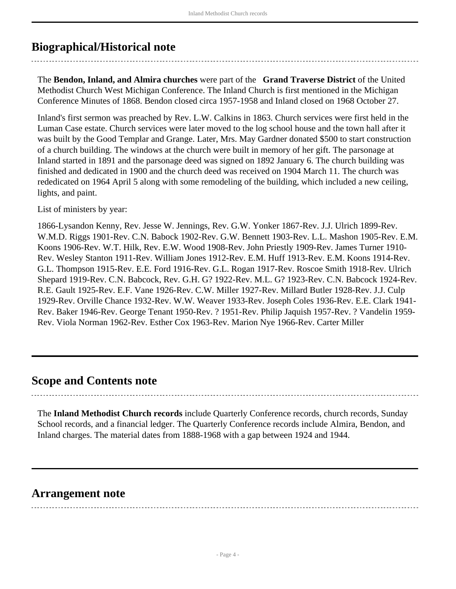## <span id="page-3-0"></span>**Biographical/Historical note**

The **Bendon, Inland, and Almira churches** were part of the **Grand Traverse District** of the United Methodist Church West Michigan Conference. The Inland Church is first mentioned in the Michigan Conference Minutes of 1868. Bendon closed circa 1957-1958 and Inland closed on 1968 October 27.

Inland's first sermon was preached by Rev. L.W. Calkins in 1863. Church services were first held in the Luman Case estate. Church services were later moved to the log school house and the town hall after it was built by the Good Templar and Grange. Later, Mrs. May Gardner donated \$500 to start construction of a church building. The windows at the church were built in memory of her gift. The parsonage at Inland started in 1891 and the parsonage deed was signed on 1892 January 6. The church building was finished and dedicated in 1900 and the church deed was received on 1904 March 11. The church was rededicated on 1964 April 5 along with some remodeling of the building, which included a new ceiling, lights, and paint.

List of ministers by year:

1866-Lysandon Kenny, Rev. Jesse W. Jennings, Rev. G.W. Yonker 1867-Rev. J.J. Ulrich 1899-Rev. W.M.D. Riggs 1901-Rev. C.N. Babock 1902-Rev. G.W. Bennett 1903-Rev. L.L. Mashon 1905-Rev. E.M. Koons 1906-Rev. W.T. Hilk, Rev. E.W. Wood 1908-Rev. John Priestly 1909-Rev. James Turner 1910- Rev. Wesley Stanton 1911-Rev. William Jones 1912-Rev. E.M. Huff 1913-Rev. E.M. Koons 1914-Rev. G.L. Thompson 1915-Rev. E.E. Ford 1916-Rev. G.L. Rogan 1917-Rev. Roscoe Smith 1918-Rev. Ulrich Shepard 1919-Rev. C.N. Babcock, Rev. G.H. G? 1922-Rev. M.L. G? 1923-Rev. C.N. Babcock 1924-Rev. R.E. Gault 1925-Rev. E.F. Vane 1926-Rev. C.W. Miller 1927-Rev. Millard Butler 1928-Rev. J.J. Culp 1929-Rev. Orville Chance 1932-Rev. W.W. Weaver 1933-Rev. Joseph Coles 1936-Rev. E.E. Clark 1941- Rev. Baker 1946-Rev. George Tenant 1950-Rev. ? 1951-Rev. Philip Jaquish 1957-Rev. ? Vandelin 1959- Rev. Viola Norman 1962-Rev. Esther Cox 1963-Rev. Marion Nye 1966-Rev. Carter Miller

### <span id="page-3-1"></span>**Scope and Contents note**

The **Inland Methodist Church records** include Quarterly Conference records, church records, Sunday School records, and a financial ledger. The Quarterly Conference records include Almira, Bendon, and Inland charges. The material dates from 1888-1968 with a gap between 1924 and 1944.

### <span id="page-3-2"></span>**Arrangement note**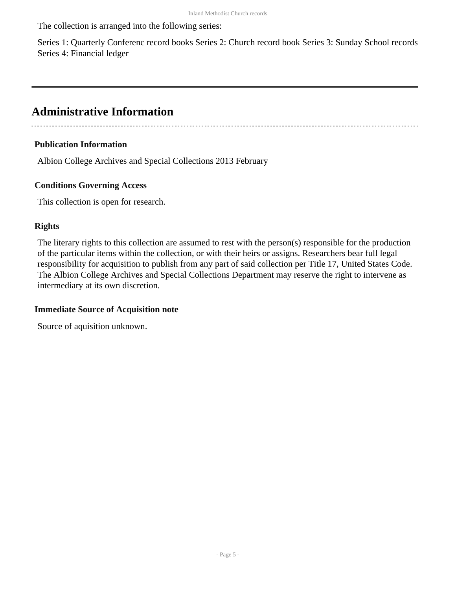The collection is arranged into the following series:

Series 1: Quarterly Conferenc record books Series 2: Church record book Series 3: Sunday School records Series 4: Financial ledger

### <span id="page-4-0"></span>**Administrative Information**

#### **Publication Information**

Albion College Archives and Special Collections 2013 February

#### **Conditions Governing Access**

This collection is open for research.

#### **Rights**

The literary rights to this collection are assumed to rest with the person(s) responsible for the production of the particular items within the collection, or with their heirs or assigns. Researchers bear full legal responsibility for acquisition to publish from any part of said collection per Title 17, United States Code. The Albion College Archives and Special Collections Department may reserve the right to intervene as intermediary at its own discretion.

#### **Immediate Source of Acquisition note**

Source of aquisition unknown.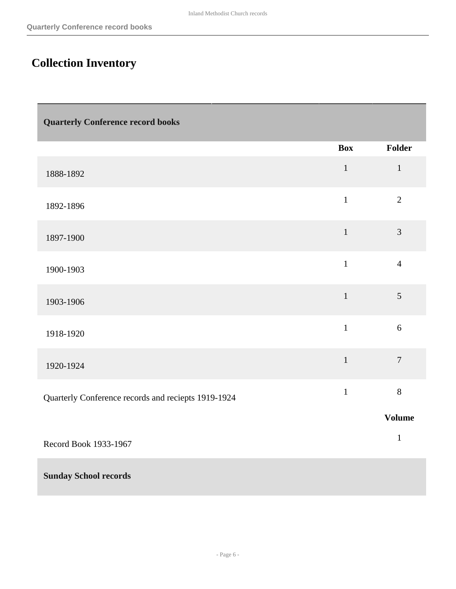# <span id="page-5-0"></span>**Collection Inventory**

<span id="page-5-1"></span>

| <b>Quarterly Conference record books</b>            |              |                |  |
|-----------------------------------------------------|--------------|----------------|--|
|                                                     | <b>Box</b>   | Folder         |  |
| 1888-1892                                           | $\mathbf{1}$ | $1\,$          |  |
| 1892-1896                                           | $\mathbf 1$  | $\overline{2}$ |  |
| 1897-1900                                           | $\mathbf{1}$ | $\overline{3}$ |  |
| 1900-1903                                           | $\mathbf{1}$ | $\overline{4}$ |  |
| 1903-1906                                           | $1\,$        | 5              |  |
| 1918-1920                                           | $\mathbf{1}$ | $6\,$          |  |
| 1920-1924                                           | $\mathbf{1}$ | $\overline{7}$ |  |
| Quarterly Conference records and reciepts 1919-1924 | $\mathbf{1}$ | 8              |  |
|                                                     |              | <b>Volume</b>  |  |
| Record Book 1933-1967                               |              | $\mathbf 1$    |  |
| <b>Sunday School records</b>                        |              |                |  |